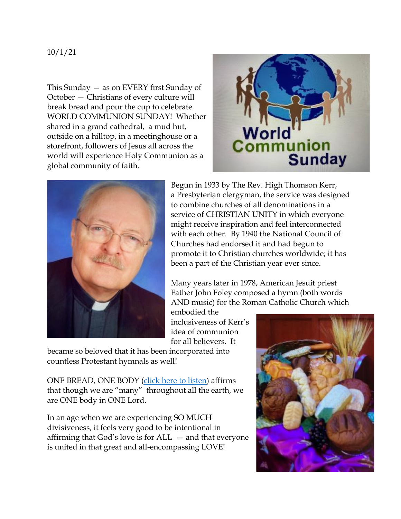This Sunday — as on EVERY first Sunday of October — Christians of every culture will break bread and pour the cup to celebrate WORLD COMMUNION SUNDAY! Whether shared in a grand cathedral, a mud hut, outside on a hilltop, in a meetinghouse or a storefront, followers of Jesus all across the world will experience Holy Communion as a global community of faith.





Begun in 1933 by The Rev. High Thomson Kerr, a Presbyterian clergyman, the service was designed to combine churches of all denominations in a service of CHRISTIAN UNITY in which everyone might receive inspiration and feel interconnected with each other. By 1940 the National Council of Churches had endorsed it and had begun to promote it to Christian churches worldwide; it has been a part of the Christian year ever since.

Many years later in 1978, American Jesuit priest Father John Foley composed a hymn (both words AND music) for the Roman Catholic Church which

embodied the inclusiveness of Kerr's idea of communion for all believers. It

became so beloved that it has been incorporated into countless Protestant hymnals as well!

ONE BREAD, ONE BODY [\(click here to listen\)](https://www.youtube.com/watch?v=tLlpHSxLMCc) affirms that though we are "many" throughout all the earth, we are ONE body in ONE Lord.

In an age when we are experiencing SO MUCH divisiveness, it feels very good to be intentional in affirming that God's love is for ALL — and that everyone is united in that great and all-encompassing LOVE!